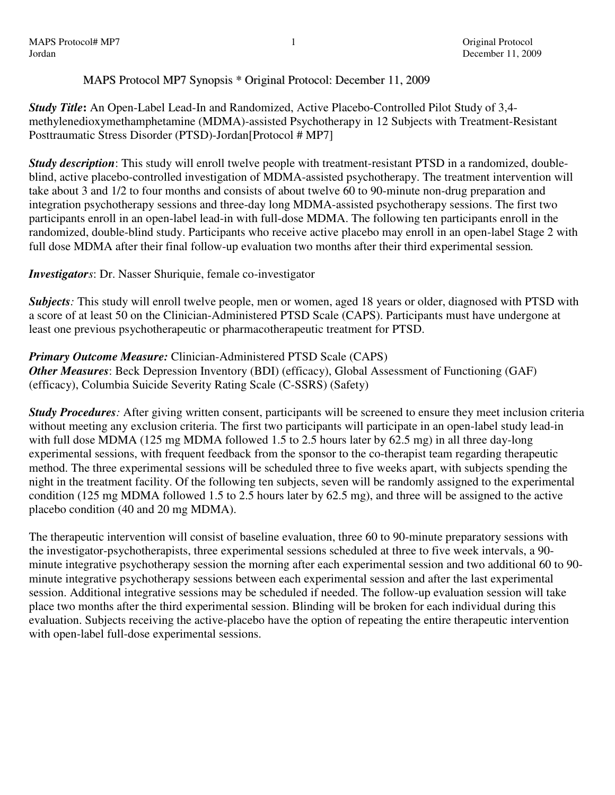## MAPS Protocol MP7 Synopsis \* Original Protocol: December 11, 2009

*Study Title***:** An Open-Label Lead-In and Randomized, Active Placebo-Controlled Pilot Study of 3,4 methylenedioxymethamphetamine (MDMA)-assisted Psychotherapy in 12 Subjects with Treatment-Resistant Posttraumatic Stress Disorder (PTSD)-Jordan[Protocol # MP7]

*Study description*: This study will enroll twelve people with treatment-resistant PTSD in a randomized, doubleblind, active placebo-controlled investigation of MDMA-assisted psychotherapy. The treatment intervention will take about 3 and 1/2 to four months and consists of about twelve 60 to 90-minute non-drug preparation and integration psychotherapy sessions and three-day long MDMA-assisted psychotherapy sessions. The first two participants enroll in an open-label lead-in with full-dose MDMA. The following ten participants enroll in the randomized, double-blind study. Participants who receive active placebo may enroll in an open-label Stage 2 with full dose MDMA after their final follow-up evaluation two months after their third experimental session*.* 

## *Investigators*: Dr. Nasser Shuriquie, female co-investigator

*Subjects:* This study will enroll twelve people, men or women, aged 18 years or older, diagnosed with PTSD with a score of at least 50 on the Clinician-Administered PTSD Scale (CAPS). Participants must have undergone at least one previous psychotherapeutic or pharmacotherapeutic treatment for PTSD.

*Primary Outcome Measure:* Clinician-Administered PTSD Scale (CAPS) *Other Measures:* Beck Depression Inventory (BDI) (efficacy), Global Assessment of Functioning (GAF) (efficacy), Columbia Suicide Severity Rating Scale (C-SSRS) (Safety)

*Study Procedures:* After giving written consent, participants will be screened to ensure they meet inclusion criteria without meeting any exclusion criteria. The first two participants will participate in an open-label study lead-in with full dose MDMA (125 mg MDMA followed 1.5 to 2.5 hours later by 62.5 mg) in all three day-long experimental sessions, with frequent feedback from the sponsor to the co-therapist team regarding therapeutic method. The three experimental sessions will be scheduled three to five weeks apart, with subjects spending the night in the treatment facility. Of the following ten subjects, seven will be randomly assigned to the experimental condition (125 mg MDMA followed 1.5 to 2.5 hours later by 62.5 mg), and three will be assigned to the active placebo condition (40 and 20 mg MDMA).

The therapeutic intervention will consist of baseline evaluation, three 60 to 90-minute preparatory sessions with the investigator-psychotherapists, three experimental sessions scheduled at three to five week intervals, a 90 minute integrative psychotherapy session the morning after each experimental session and two additional 60 to 90 minute integrative psychotherapy sessions between each experimental session and after the last experimental session. Additional integrative sessions may be scheduled if needed. The follow-up evaluation session will take place two months after the third experimental session. Blinding will be broken for each individual during this evaluation. Subjects receiving the active-placebo have the option of repeating the entire therapeutic intervention with open-label full-dose experimental sessions.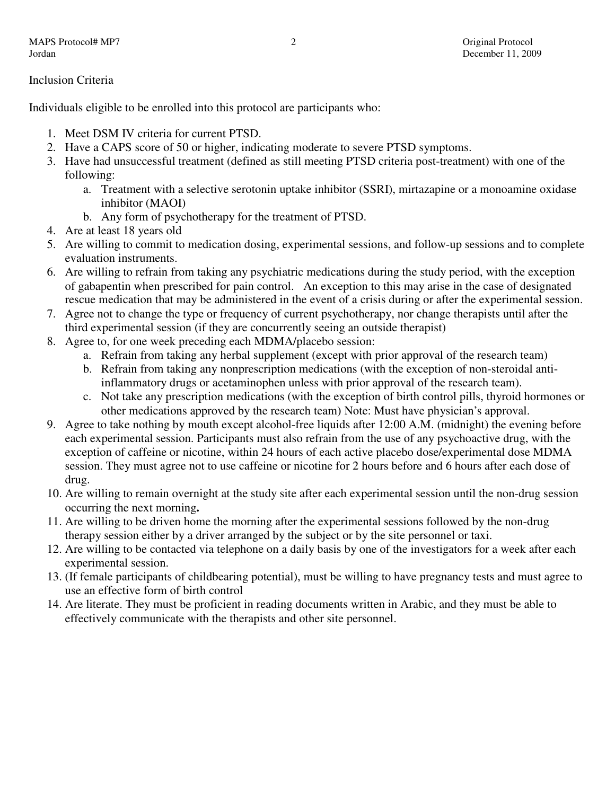Inclusion Criteria

Individuals eligible to be enrolled into this protocol are participants who:

- 1. Meet DSM IV criteria for current PTSD.
- 2. Have a CAPS score of 50 or higher, indicating moderate to severe PTSD symptoms.
- 3. Have had unsuccessful treatment (defined as still meeting PTSD criteria post-treatment) with one of the following:
	- a. Treatment with a selective serotonin uptake inhibitor (SSRI), mirtazapine or a monoamine oxidase inhibitor (MAOI)
	- b. Any form of psychotherapy for the treatment of PTSD.
- 4. Are at least 18 years old
- 5. Are willing to commit to medication dosing, experimental sessions, and follow-up sessions and to complete evaluation instruments.
- 6. Are willing to refrain from taking any psychiatric medications during the study period, with the exception of gabapentin when prescribed for pain control. An exception to this may arise in the case of designated rescue medication that may be administered in the event of a crisis during or after the experimental session.
- 7. Agree not to change the type or frequency of current psychotherapy, nor change therapists until after the third experimental session (if they are concurrently seeing an outside therapist)
- 8. Agree to, for one week preceding each MDMA/placebo session:
	- a. Refrain from taking any herbal supplement (except with prior approval of the research team)
	- b. Refrain from taking any nonprescription medications (with the exception of non-steroidal antiinflammatory drugs or acetaminophen unless with prior approval of the research team).
	- c. Not take any prescription medications (with the exception of birth control pills, thyroid hormones or other medications approved by the research team) Note: Must have physician's approval.
- 9. Agree to take nothing by mouth except alcohol-free liquids after 12:00 A.M. (midnight) the evening before each experimental session. Participants must also refrain from the use of any psychoactive drug, with the exception of caffeine or nicotine, within 24 hours of each active placebo dose/experimental dose MDMA session. They must agree not to use caffeine or nicotine for 2 hours before and 6 hours after each dose of drug.
- 10. Are willing to remain overnight at the study site after each experimental session until the non-drug session occurring the next morning**.**
- 11. Are willing to be driven home the morning after the experimental sessions followed by the non-drug therapy session either by a driver arranged by the subject or by the site personnel or taxi.
- 12. Are willing to be contacted via telephone on a daily basis by one of the investigators for a week after each experimental session.
- 13. (If female participants of childbearing potential), must be willing to have pregnancy tests and must agree to use an effective form of birth control
- 14. Are literate. They must be proficient in reading documents written in Arabic, and they must be able to effectively communicate with the therapists and other site personnel.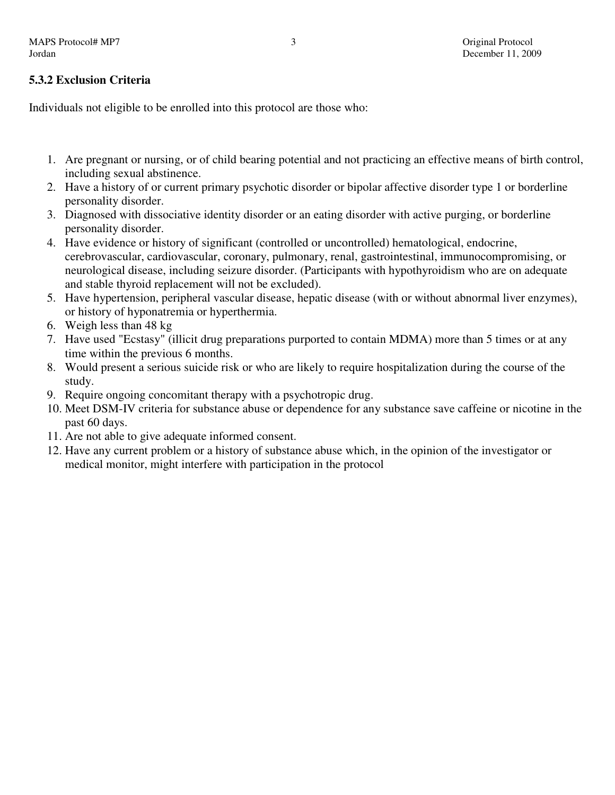## **5.3.2 Exclusion Criteria**

Individuals not eligible to be enrolled into this protocol are those who:

- 1. Are pregnant or nursing, or of child bearing potential and not practicing an effective means of birth control, including sexual abstinence.
- 2. Have a history of or current primary psychotic disorder or bipolar affective disorder type 1 or borderline personality disorder.
- 3. Diagnosed with dissociative identity disorder or an eating disorder with active purging, or borderline personality disorder.
- 4. Have evidence or history of significant (controlled or uncontrolled) hematological, endocrine, cerebrovascular, cardiovascular, coronary, pulmonary, renal, gastrointestinal, immunocompromising, or neurological disease, including seizure disorder. (Participants with hypothyroidism who are on adequate and stable thyroid replacement will not be excluded).
- 5. Have hypertension, peripheral vascular disease, hepatic disease (with or without abnormal liver enzymes), or history of hyponatremia or hyperthermia.
- 6. Weigh less than 48 kg
- 7. Have used "Ecstasy" (illicit drug preparations purported to contain MDMA) more than 5 times or at any time within the previous 6 months.
- 8. Would present a serious suicide risk or who are likely to require hospitalization during the course of the study.
- 9. Require ongoing concomitant therapy with a psychotropic drug.
- 10. Meet DSM-IV criteria for substance abuse or dependence for any substance save caffeine or nicotine in the past 60 days.
- 11. Are not able to give adequate informed consent.
- 12. Have any current problem or a history of substance abuse which, in the opinion of the investigator or medical monitor, might interfere with participation in the protocol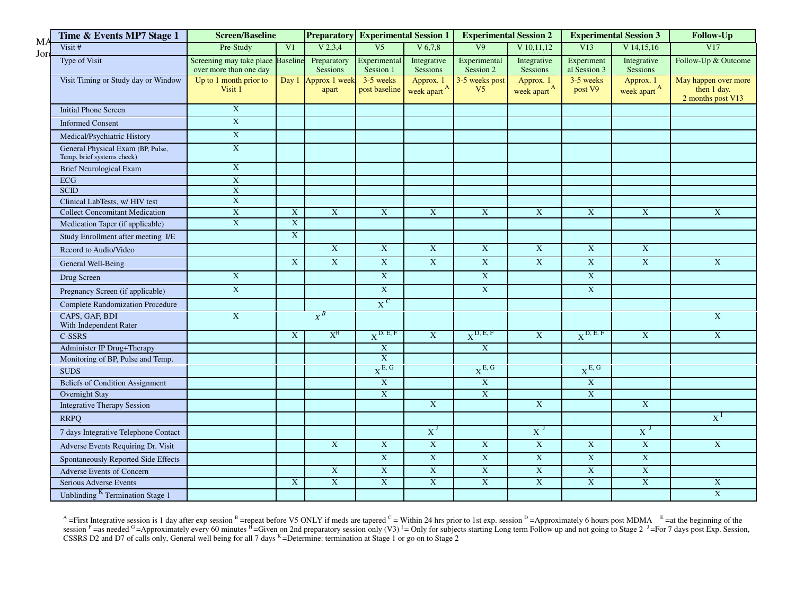| MA   | Time & Events MP7 Stage 1                                       | <b>Screen/Baseline</b>                                      |                         |                                | <b>Preparatory</b> Experimental Session 1 |                                      | <b>Experimental Session 2</b>    |                                      | <b>Experimental Session 3</b> |                                      | Follow-Up                                                |
|------|-----------------------------------------------------------------|-------------------------------------------------------------|-------------------------|--------------------------------|-------------------------------------------|--------------------------------------|----------------------------------|--------------------------------------|-------------------------------|--------------------------------------|----------------------------------------------------------|
| Jore | Visit #                                                         | Pre-Study                                                   | V <sub>1</sub>          | V 2, 3, 4                      | V <sub>5</sub>                            | V 6.7.8                              | $\overline{VQ}$                  | $V$ 10,11,12                         | V13                           | $V$ 14,15,16                         | V17                                                      |
|      | Type of Visit                                                   | Screening may take place Baseline<br>over more than one day |                         | Preparatory<br><b>Sessions</b> | Experimental<br>Session 1                 | Integrative<br>Sessions              | Experimental<br>Session 2        | Integrative<br>Sessions              | Experiment<br>al Session 3    | Integrative<br>Sessions              | Follow-Up & Outcome                                      |
|      | Visit Timing or Study day or Window                             | Up to 1 month prior to<br>Visit 1                           | Day 1                   | Approx 1 week<br>apart         | 3-5 weeks<br>post baseline                | Approx. 1<br>week apart <sup>A</sup> | 3-5 weeks post<br>V <sub>5</sub> | Approx. 1<br>week apart <sup>A</sup> | 3-5 weeks<br>post V9          | Approx. 1<br>week apart <sup>A</sup> | May happen over more<br>then 1 day.<br>2 months post V13 |
|      | <b>Initial Phone Screen</b>                                     | $\bold{X}$                                                  |                         |                                |                                           |                                      |                                  |                                      |                               |                                      |                                                          |
|      | <b>Informed Consent</b>                                         | $\mathbf X$                                                 |                         |                                |                                           |                                      |                                  |                                      |                               |                                      |                                                          |
|      | Medical/Psychiatric History                                     | $\mathbf X$                                                 |                         |                                |                                           |                                      |                                  |                                      |                               |                                      |                                                          |
|      | General Physical Exam (BP, Pulse,<br>Temp, brief systems check) | $\mathbf X$                                                 |                         |                                |                                           |                                      |                                  |                                      |                               |                                      |                                                          |
|      | <b>Brief Neurological Exam</b>                                  | $\mathbf X$                                                 |                         |                                |                                           |                                      |                                  |                                      |                               |                                      |                                                          |
|      | <b>ECG</b>                                                      | $\mathbf X$                                                 |                         |                                |                                           |                                      |                                  |                                      |                               |                                      |                                                          |
|      | <b>SCID</b>                                                     | $\mathbf X$                                                 |                         |                                |                                           |                                      |                                  |                                      |                               |                                      |                                                          |
|      | Clinical LabTests, w/ HIV test                                  | $\mathbf{X}$                                                |                         |                                |                                           |                                      |                                  |                                      |                               |                                      |                                                          |
|      | <b>Collect Concomitant Medication</b>                           | $\mathbf X$                                                 | X                       | $\mathbf X$                    | $\mathbf X$                               | $\mathbf X$                          | $\mathbf{X}$                     | $\mathbf X$                          | $\mathbf X$                   | $\mathbf X$                          | $\boldsymbol{\mathrm{X}}$                                |
|      | Medication Taper (if applicable)                                | $\overline{\textbf{X}}$                                     | $\overline{\textbf{X}}$ |                                |                                           |                                      |                                  |                                      |                               |                                      |                                                          |
|      | Study Enrollment after meeting I/E                              |                                                             | $\bold{X}$              |                                |                                           |                                      |                                  |                                      |                               |                                      |                                                          |
|      | Record to Audio/Video                                           |                                                             |                         | $\overline{\text{X}}$          | $\overline{\textbf{X}}$                   | $\overline{X}$                       | $\overline{X}$                   | $\overline{X}$                       | $\overline{\textbf{X}}$       | $\overline{X}$                       |                                                          |
|      | General Well-Being                                              |                                                             | $\overline{X}$          | X                              | $\overline{\textbf{X}}$                   | $\overline{X}$                       | $\overline{X}$                   | $\overline{X}$                       | $\mathbf X$                   | $\overline{\text{X}}$                | $\overline{\text{X}}$                                    |
|      | Drug Screen                                                     | $\mathbf X$                                                 |                         |                                | $\boldsymbol{\mathrm{X}}$                 |                                      | $\boldsymbol{\mathrm{X}}$        |                                      | $\mathbf X$                   |                                      |                                                          |
|      | Pregnancy Screen (if applicable)                                | $\overline{X}$                                              |                         |                                | $\overline{X}$                            |                                      | $\overline{X}$                   |                                      | $\overline{\textbf{X}}$       |                                      |                                                          |
|      | <b>Complete Randomization Procedure</b>                         |                                                             |                         |                                | $X^{\text{C}}$                            |                                      |                                  |                                      |                               |                                      |                                                          |
|      | CAPS, GAF, BDI<br>With Independent Rater                        | $\mathbf X$                                                 |                         | $X^B$                          |                                           |                                      |                                  |                                      |                               |                                      | $\overline{X}$                                           |
|      | <b>C-SSRS</b>                                                   |                                                             | X                       | $X^H$                          | $X^{D, E, F}$                             | X                                    | $X^{D, E, F}$                    | $\overline{X}$                       | $X^{D, E, F}$                 | $\mathbf X$                          | $\overline{X}$                                           |
|      | Administer IP Drug+Therapy                                      |                                                             |                         |                                | $\mathbf X$                               |                                      | $\boldsymbol{\mathrm{X}}$        |                                      |                               |                                      |                                                          |
|      | Monitoring of BP, Pulse and Temp.                               |                                                             |                         |                                | $\overline{\textbf{X}}$                   |                                      |                                  |                                      |                               |                                      |                                                          |
|      | <b>SUDS</b>                                                     |                                                             |                         |                                | $X^{E, G}$                                |                                      | $X^{E, G}$                       |                                      | $X^{E, G}$                    |                                      |                                                          |
|      | <b>Beliefs of Condition Assignment</b>                          |                                                             |                         |                                | $\mathbf X$                               |                                      | $\boldsymbol{\mathrm{X}}$        |                                      | $\mathbf X$                   |                                      |                                                          |
|      | <b>Overnight Stay</b>                                           |                                                             |                         |                                | $\overline{\textbf{X}}$                   |                                      | $\overline{X}$                   |                                      | $\boldsymbol{\mathrm{X}}$     |                                      |                                                          |
|      | <b>Integrative Therapy Session</b>                              |                                                             |                         |                                |                                           | $\mathbf X$                          |                                  | $\overline{X}$                       |                               | $\boldsymbol{\mathrm{X}}$            |                                                          |
|      | <b>RRPQ</b>                                                     |                                                             |                         |                                |                                           |                                      |                                  |                                      |                               |                                      | $X^I$                                                    |
|      | 7 days Integrative Telephone Contact                            |                                                             |                         |                                |                                           | $X^J$                                |                                  | $X^J$                                |                               | $X^J$                                |                                                          |
|      | Adverse Events Requiring Dr. Visit                              |                                                             |                         | X                              | $\mathbf X$                               | $\mathbf X$                          | $\boldsymbol{\mathrm{X}}$        | $\bold{X}$                           | $\mathbf X$                   | $\boldsymbol{\mathrm{X}}$            | $\mathbf X$                                              |
|      | Spontaneously Reported Side Effects                             |                                                             |                         |                                | $\overline{X}$                            | X                                    | $\overline{X}$                   | $\mathbf X$                          | $\mathbf X$                   | $\overline{X}$                       |                                                          |
|      | Adverse Events of Concern                                       |                                                             |                         | $\mathbf X$                    | $\mathbf X$                               | $\mathbf X$                          | $\boldsymbol{\mathrm{X}}$        | $\mathbf X$                          | $\mathbf X$                   | $\mathbf X$                          |                                                          |
|      | Serious Adverse Events                                          |                                                             | $\mathbf X$             | $\overline{\text{X}}$          | $\overline{\textbf{X}}$                   | $\overline{\text{X}}$                | $\overline{\textbf{X}}$          | $\overline{\text{X}}$                | $\overline{\textbf{X}}$       | $\overline{\text{X}}$                | $\mathbf X$                                              |
|      | Unblinding <sup>K</sup> Termination Stage 1                     |                                                             |                         |                                |                                           |                                      |                                  |                                      |                               |                                      | $\overline{\text{X}}$                                    |

<sup>A</sup> =First Integrative session is 1 day after exp session <sup>B</sup> =repeat before V5 ONLY if meds are tapered <sup>C</sup> = Within 24 hrs prior to 1st exp. session <sup>D</sup> =Approximately 6 hours post MDMA <sup>E</sup> =at the beginning of the sess